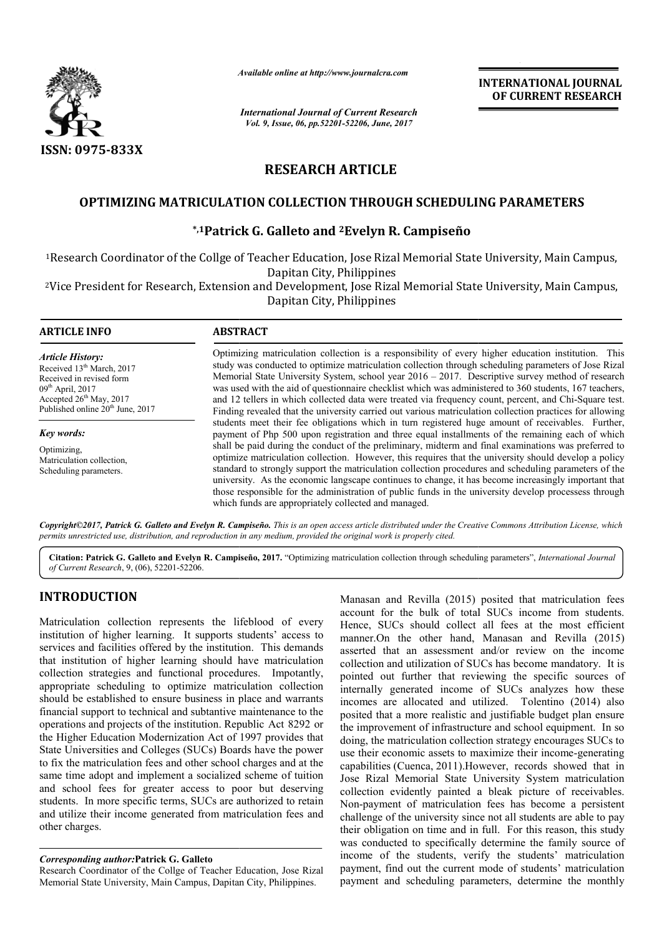

*Available online at http://www.journal http://www.journalcra.com*

*International Journal of Current Research Vol. 9, Issue, 06, pp.52201-52206, June, 2017*

**INTERNATIONAL JOURNAL OF CURRENT RESEARCH** 

# **RESEARCH ARTICLE**

## OPTIMIZING MATRICULATION COLLECTION THROUGH SCHEDULING PARAMETERS

## **\*,1Patrick G. Galleto Patrick and 2Evelyn R. Campiseño**

<sup>1</sup>Research Coordinator of the Collge of Teacher Education, Jose Rizal Memorial State University, Main Campus, Dapitan City, Philippines

2Vice President for Research, Extension and Development, Jose Rizal Memorial State University, Main Campus, Vice Dapitan City, Philippines

| <b>ARTICLE INFO</b>                                                                                                                                                                             | <b>ABSTRACT</b>                                                                                                                                                                                                                                                                                                                                                                                                                                                                                                                                                                                                                                                                                                                                                                                          |  |  |  |  |  |
|-------------------------------------------------------------------------------------------------------------------------------------------------------------------------------------------------|----------------------------------------------------------------------------------------------------------------------------------------------------------------------------------------------------------------------------------------------------------------------------------------------------------------------------------------------------------------------------------------------------------------------------------------------------------------------------------------------------------------------------------------------------------------------------------------------------------------------------------------------------------------------------------------------------------------------------------------------------------------------------------------------------------|--|--|--|--|--|
| <b>Article History:</b><br>Received 13 <sup>th</sup> March, 2017<br>Received in revised form<br>$09th$ April, 2017<br>Accepted $26th$ May, 2017<br>Published online 20 <sup>th</sup> June, 2017 | Optimizing matriculation collection is a responsibility of every higher education institution. This<br>study was conducted to optimize matriculation collection through scheduling parameters of Jose Rizal<br>Memorial State University System, school year 2016 – 2017. Descriptive survey method of research<br>was used with the aid of questionnaire checklist which was administered to 360 students, 167 teachers,<br>and 12 tellers in which collected data were treated via frequency count, percent, and Chi-Square test.<br>Finding revealed that the university carried out various matriculation collection practices for allowing                                                                                                                                                          |  |  |  |  |  |
| Key words:<br>Optimizing,<br>Matriculation collection,<br>Scheduling parameters.                                                                                                                | students meet their fee obligations which in turn registered huge amount of receivables. Further,<br>payment of Php 500 upon registration and three equal installments of the remaining each of which<br>shall be paid during the conduct of the preliminary, midterm and final examinations was preferred to<br>optimize matriculation collection. However, this requires that the university should develop a policy<br>standard to strongly support the matriculation collection procedures and scheduling parameters of the<br>university. As the economic langscape continues to change, it has become increasingly important that<br>those responsible for the administration of public funds in the university develop processess through<br>which funds are appropriately collected and managed. |  |  |  |  |  |

*Copyright©2017, Patrick G. Galleto and Evelyn R. Campiseño Campiseño. This is an open access article distributed under the Creative Commons Att tive Commons Attribution License, which permits unrestricted use, distribution, and reproduction in any medium, provided the original work is properly cited.*

Citation: Patrick G. Galleto and Evelyn R. Campiseño, 2017. "Optimizing matriculation collection through scheduling parameters", International Journal *of Current Research*, 9, (06), 52201-52206.

## **INTRODUCTION**

Matriculation collection represents the lifeblood of every institution of higher learning. It supports students' access to services and facilities offered by the institution. This demands that institution of higher learning should have matriculation collection strategies and functional procedures. Impotantly, appropriate scheduling to optimize matriculation collection should be established to ensure business in place and warrants financial support to technical and subtantive maintenance to the operations and projects of the institution. Republic Act 8292 or the Higher Education Modernization Act of 1997 provides that State Universities and Colleges (SUCs) Boards have the power to fix the matriculation fees and other school charges and at the same time adopt and implement a socialized scheme of tuition and school fees for greater access to poor but deserving students. In more specific terms, SUCs are authorized to retain and utilize their income generated from matriculation fees and other charges. ection strategies and functional procedures. Impotantly ropriate scheduling to optimize matriculation collectic und be established to ensure business in place and warran ncial support to technical and subtantive maintenanc

### *Corresponding author:***Patrick G. Galleto**

Research Coordinator of the Collge of Teacher Education, Jose Rizal Memorial State University, Main Campus, Dapitan City, Philippines

Manasan and Revilla (2015) posited that matriculation fees account for the bulk of total SUCs income from students. Hence, SUCs should collect all fees at the most efficient manner.On the other hand, Manasan and Revilla (2015) asserted that an assessment and/or review on the income collection and utilization of SUCs has become mandatory. It is pointed out further that reviewing the specific sources of internally generated income of SUCs analyzes how these incomes are allocated and utilized. Tolentino (2014) also posited that a more realistic and justifiable budget plan ensure the improvement of infrastructure and school equipment. In so doing, the matriculation collection strategy encourages SUCs to internally generated income of SUCs analyzes how these incomes are allocated and utilized. Tolentino (2014) also posited that a more realistic and justifiable budget plan ensure the improvement of infrastructure and school capabilities (Cuenca, 2011).However, records showed that in Jose Rizal Memorial State University System matriculation collection evidently painted a bleak picture of receivables. Non-payment of matriculation fees has become a persistent challenge of the university since not all students are able to pay their obligation on time and in full. For this reason, this study was conducted to specifically determine the family source of income of the students, verify the students' matriculation payment, find out the current mode of students' matriculation payment and scheduling parameters, determine the monthly Manasan and Revilla (2015) posited that matriculation fees account for the bulk of total SUCs income from students.<br>Hence, SUCs should collect all fees at the most efficient manner.<br>On the other hand, Manasan and Revilla ( bilities (Cuenca, 2011).However, records showed that in Rizal Memorial State University System matriculation ction evidently painted a bleak picture of receivables. payment of matriculation fees has become a persistent ene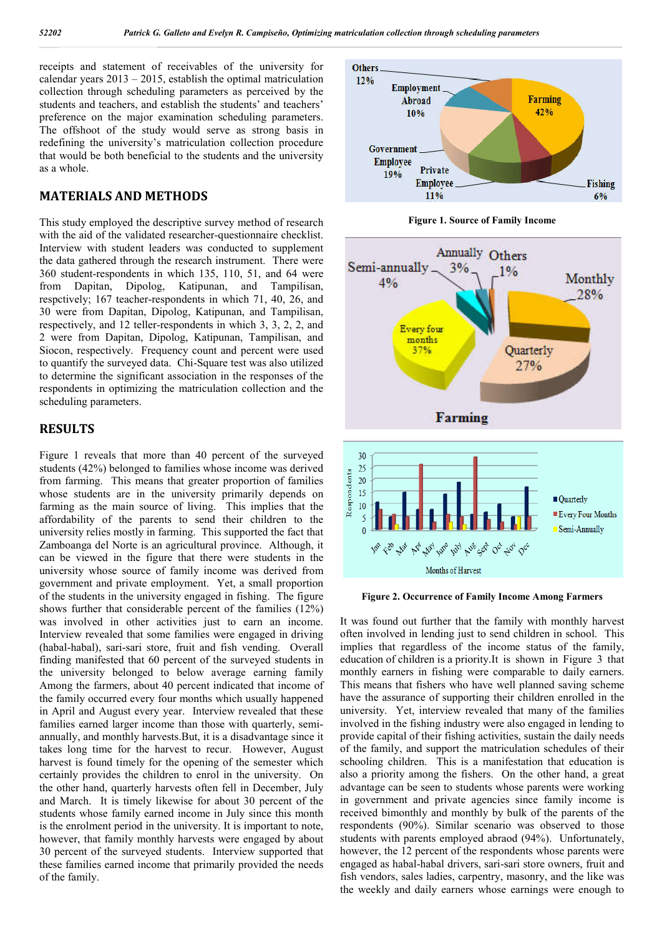receipts and statement of receivables of the university for calendar years 2013 – 2015, establish the optimal matriculation collection through scheduling parameters as perceived by the students and teachers, and establish the students' and teachers' preference on the major examination scheduling parameters. The offshoot of the study would serve as strong basis in redefining the university's matriculation collection procedure that would be both beneficial to the students and the university as a whole.

### **MATERIALS AND METHODS**

This study employed the descriptive survey method of research with the aid of the validated researcher-questionnaire checklist. Interview with student leaders was conducted to supplement the data gathered through the research instrument. There were 360 student-respondents in which 135, 110, 51, and 64 were from Dapitan, Dipolog, Katipunan, and Tampilisan, respctively; 167 teacher-respondents in which 71, 40, 26, and 30 were from Dapitan, Dipolog, Katipunan, and Tampilisan, respectively, and 12 teller-respondents in which 3, 3, 2, 2, and 2 were from Dapitan, Dipolog, Katipunan, Tampilisan, and Siocon, respectively. Frequency count and percent were used to quantify the surveyed data. Chi-Square test was also utilized to determine the significant association in the responses of the respondents in optimizing the matriculation collection and the scheduling parameters.

#### **RESULTS**

Figure 1 reveals that more than 40 percent of the surveyed students (42%) belonged to families whose income was derived from farming. This means that greater proportion of families whose students are in the university primarily depends on farming as the main source of living. This implies that the affordability of the parents to send their children to the university relies mostly in farming. This supported the fact that Zamboanga del Norte is an agricultural province. Although, it can be viewed in the figure that there were students in the university whose source of family income was derived from government and private employment. Yet, a small proportion of the students in the university engaged in fishing. The figure shows further that considerable percent of the families (12%) was involved in other activities just to earn an income. Interview revealed that some families were engaged in driving (habal-habal), sari-sari store, fruit and fish vending. Overall finding manifested that 60 percent of the surveyed students in the university belonged to below average earning family Among the farmers, about 40 percent indicated that income of the family occurred every four months which usually happened in April and August every year. Interview revealed that these families earned larger income than those with quarterly, semiannually, and monthly harvests.But, it is a disadvantage since it takes long time for the harvest to recur. However, August harvest is found timely for the opening of the semester which certainly provides the children to enrol in the university. On the other hand, quarterly harvests often fell in December, July and March. It is timely likewise for about 30 percent of the students whose family earned income in July since this month is the enrolment period in the university. It is important to note, however, that family monthly harvests were engaged by about 30 percent of the surveyed students. Interview supported that these families earned income that primarily provided the needs of the family.







**Figure 2. Occurrence of Family Income Among Farmers**

It was found out further that the family with monthly harvest often involved in lending just to send children in school. This implies that regardless of the income status of the family, education of children is a priority.It is shown in Figure 3 that monthly earners in fishing were comparable to daily earners. This means that fishers who have well planned saving scheme have the assurance of supporting their children enrolled in the university. Yet, interview revealed that many of the families involved in the fishing industry were also engaged in lending to provide capital of their fishing activities, sustain the daily needs of the family, and support the matriculation schedules of their schooling children. This is a manifestation that education is also a priority among the fishers. On the other hand, a great advantage can be seen to students whose parents were working in government and private agencies since family income is received bimonthly and monthly by bulk of the parents of the respondents (90%). Similar scenario was observed to those students with parents employed abraod (94%). Unfortunately, however, the 12 percent of the respondents whose parents were engaged as habal-habal drivers, sari-sari store owners, fruit and fish vendors, sales ladies, carpentry, masonry, and the like was the weekly and daily earners whose earnings were enough to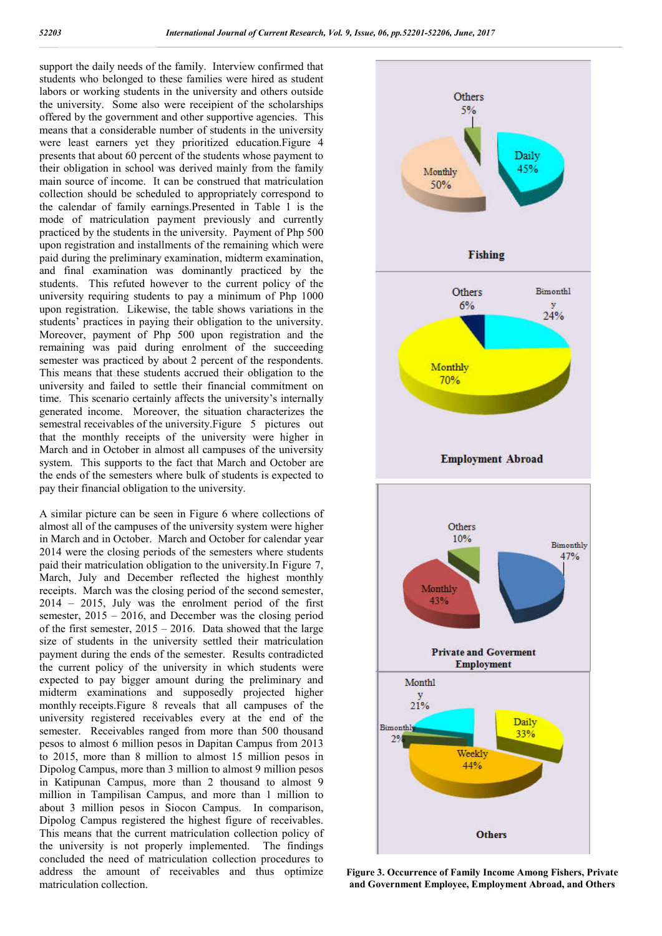support the daily needs of the family. Interview confirmed that students who belonged to these families were hired as student labors or working students in the university and others outside the university. Some also were receipient of the scholarships offered by the government and other supportive agencies. This means that a considerable number of students in the university were least earners yet they prioritized education.Figure 4 presents that about 60 percent of the students whose payment to their obligation in school was derived mainly from the family main source of income. It can be construed that matriculation collection should be scheduled to appropriately correspond to the calendar of family earnings.Presented in Table 1 is the mode of matriculation payment previously and currently practiced by the students in the university. Payment of Php 500 upon registration and installments of the remaining which were paid during the preliminary examination, midterm examination, and final examination was dominantly practiced by the students. This refuted however to the current policy of the university requiring students to pay a minimum of Php 1000 upon registration. Likewise, the table shows variations in the students' practices in paying their obligation to the university. Moreover, payment of Php 500 upon registration and the remaining was paid during enrolment of the succeeding semester was practiced by about 2 percent of the respondents. This means that these students accrued their obligation to the university and failed to settle their financial commitment on time. This scenario certainly affects the university's internally generated income. Moreover, the situation characterizes the semestral receivables of the university. Figure 5 pictures out that the monthly receipts of the university were higher in March and in October in almost all campuses of the university system. This supports to the fact that March and October are the ends of the semesters where bulk of students is expected to pay their financial obligation to the university.

A similar picture can be seen in Figure 6 where collections of almost all of the campuses of the university system were higher in March and in October. March and October for calendar year 2014 were the closing periods of the semesters where students paid their matriculation obligation to the university.In Figure 7, March, July and December reflected the highest monthly receipts. March was the closing period of the second semester, 2014 – 2015, July was the enrolment period of the first semester, 2015 – 2016, and December was the closing period of the first semester,  $2015 - 2016$ . Data showed that the large size of students in the university settled their matriculation payment during the ends of the semester. Results contradicted the current policy of the university in which students were expected to pay bigger amount during the preliminary and midterm examinations and supposedly projected higher monthly receipts.Figure 8 reveals that all campuses of the university registered receivables every at the end of the semester. Receivables ranged from more than 500 thousand pesos to almost 6 million pesos in Dapitan Campus from 2013 to 2015, more than 8 million to almost 15 million pesos in Dipolog Campus, more than 3 million to almost 9 million pesos in Katipunan Campus, more than 2 thousand to almost 9 million in Tampilisan Campus, and more than 1 million to about 3 million pesos in Siocon Campus. In comparison, Dipolog Campus registered the highest figure of receivables. This means that the current matriculation collection policy of the university is not properly implemented. The findings concluded the need of matriculation collection procedures to address the amount of receivables and thus optimize matriculation collection.



**Figure 3. Occurrence of Family Income Among Fishers, Private and Government Employee, Employment Abroad, and Others**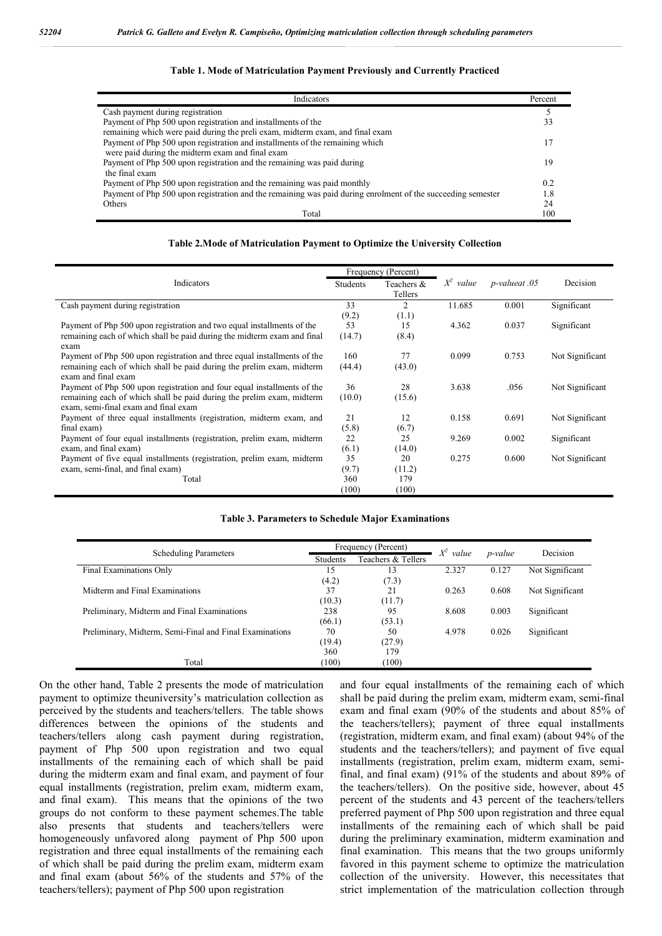#### **Table 1. Mode of Matriculation Payment Previously and Currently Practiced**

| Indicators                                                                                                  |     |  |  |
|-------------------------------------------------------------------------------------------------------------|-----|--|--|
| Cash payment during registration                                                                            |     |  |  |
| Payment of Php 500 upon registration and installments of the                                                |     |  |  |
| remaining which were paid during the preli exam, midterm exam, and final exam                               |     |  |  |
| Payment of Php 500 upon registration and installments of the remaining which                                |     |  |  |
| were paid during the midterm exam and final exam                                                            |     |  |  |
| Payment of Php 500 upon registration and the remaining was paid during                                      |     |  |  |
| the final exam                                                                                              |     |  |  |
| Payment of Php 500 upon registration and the remaining was paid monthly                                     |     |  |  |
| Payment of Php 500 upon registration and the remaining was paid during enrolment of the succeeding semester |     |  |  |
| Others                                                                                                      | 24  |  |  |
| Total                                                                                                       | 100 |  |  |

#### **Table 2.Mode of Matriculation Payment to Optimize the University Collection**

|                                                                                                 | Frequency (Percent) |            |             |               |                 |
|-------------------------------------------------------------------------------------------------|---------------------|------------|-------------|---------------|-----------------|
| Indicators                                                                                      |                     | Teachers & | $X^2$ value | p-valueat .05 | Decision        |
|                                                                                                 |                     | Tellers    |             |               |                 |
| Cash payment during registration                                                                |                     | 2          | 11.685      | 0.001         | Significant     |
|                                                                                                 | (9.2)               | (1.1)      |             |               |                 |
| Payment of Php 500 upon registration and two equal installments of the                          |                     | 15         | 4.362       | 0.037         | Significant     |
| remaining each of which shall be paid during the midterm exam and final                         | (14.7)              | (8.4)      |             |               |                 |
| exam                                                                                            |                     |            |             |               |                 |
| Payment of Php 500 upon registration and three equal installments of the                        |                     | 77         | 0.099       | 0.753         | Not Significant |
| remaining each of which shall be paid during the prelim exam, midterm                           |                     | (43.0)     |             |               |                 |
| exam and final exam                                                                             |                     |            |             |               |                 |
| Payment of Php 500 upon registration and four equal installments of the                         |                     | 28         | 3.638       | .056          | Not Significant |
| remaining each of which shall be paid during the prelim exam, midterm                           |                     | (15.6)     |             |               |                 |
| exam, semi-final exam and final exam                                                            |                     |            |             |               |                 |
| Payment of three equal installments (registration, midterm exam, and<br>final exam)             |                     | 12         | 0.158       | 0.691         | Not Significant |
|                                                                                                 |                     | (6.7)      |             |               |                 |
| Payment of four equal installments (registration, prelim exam, midterm<br>exam, and final exam) |                     | 25         | 9.269       | 0.002         | Significant     |
|                                                                                                 |                     | (14.0)     |             |               |                 |
| Payment of five equal installments (registration, prelim exam, midterm                          | (6.1)<br>35         | 20         | 0.275       | 0.600         | Not Significant |
| exam, semi-final, and final exam)                                                               |                     | (11.2)     |             |               |                 |
| Total                                                                                           |                     | 179        |             |               |                 |
|                                                                                                 | 360<br>(100)        | (100)      |             |               |                 |

#### **Table 3. Parameters to Schedule Major Examinations**

|                                                         | Frequency (Percent) |                    | $X^2$<br>value |                 | Decision        |
|---------------------------------------------------------|---------------------|--------------------|----------------|-----------------|-----------------|
| <b>Scheduling Parameters</b>                            | <b>Students</b>     | Teachers & Tellers |                | <i>p</i> -value |                 |
| Final Examinations Only                                 | 15                  | 13                 | 2.327          | 0.127           | Not Significant |
|                                                         | (4.2)               | (7.3)              |                |                 |                 |
| Midterm and Final Examinations                          | 37                  | 21                 | 0.263          | 0.608           | Not Significant |
|                                                         | (10.3)              | (11.7)             |                |                 |                 |
| Preliminary, Midterm and Final Examinations             | 238                 | 95                 | 8.608          | 0.003           | Significant     |
|                                                         | (66.1)              | (53.1)             |                |                 |                 |
| Preliminary, Midterm, Semi-Final and Final Examinations | 70                  | 50                 | 4.978          | 0.026           | Significant     |
|                                                         | (19.4)              | (27.9)             |                |                 |                 |
|                                                         | 360                 | 179                |                |                 |                 |
| Total                                                   | (100)               | (100)              |                |                 |                 |

On the other hand, Table 2 presents the mode of matriculation payment to optimize theuniversity's matriculation collection as perceived by the students and teachers/tellers. The table shows differences between the opinions of the students and teachers/tellers along cash payment during registration, payment of Php 500 upon registration and two equal installments of the remaining each of which shall be paid during the midterm exam and final exam, and payment of four equal installments (registration, prelim exam, midterm exam, and final exam). This means that the opinions of the two groups do not conform to these payment schemes.The table also presents that students and teachers/tellers were homogeneously unfavored along payment of Php 500 upon registration and three equal installments of the remaining each of which shall be paid during the prelim exam, midterm exam and final exam (about 56% of the students and 57% of the teachers/tellers); payment of Php 500 upon registration

and four equal installments of the remaining each of which shall be paid during the prelim exam, midterm exam, semi-final exam and final exam (90% of the students and about 85% of the teachers/tellers); payment of three equal installments (registration, midterm exam, and final exam) (about 94% of the students and the teachers/tellers); and payment of five equal installments (registration, prelim exam, midterm exam, semifinal, and final exam) (91% of the students and about 89% of the teachers/tellers). On the positive side, however, about 45 percent of the students and 43 percent of the teachers/tellers preferred payment of Php 500 upon registration and three equal installments of the remaining each of which shall be paid during the preliminary examination, midterm examination and final examination. This means that the two groups uniformly favored in this payment scheme to optimize the matriculation collection of the university. However, this necessitates that strict implementation of the matriculation collection through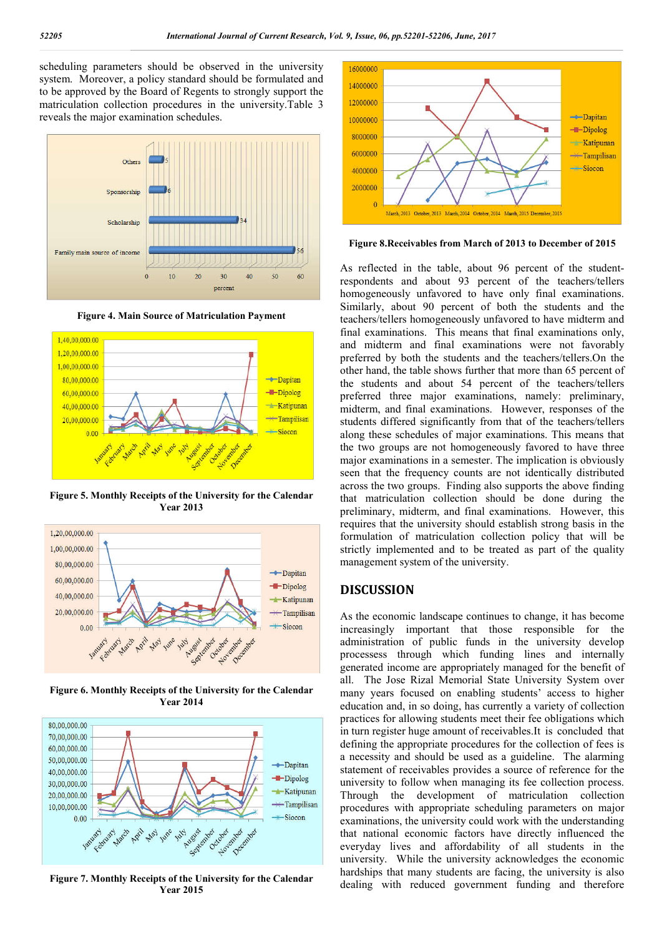scheduling parameters should be observed in the university system. Moreover, a policy standard should be formulated and to be approved by the Board of Regents to strongly support the matriculation collection procedures in the university.Table 3 reveals the major examination schedules.







**Figure 5. Monthly Receipts of the University for the Calendar Year 2013**



**Figure 6. Monthly Receipts of the University for the Calendar Year 2014**



**Figure 7. Monthly Receipts of the University for the Calendar Year 2015**



**Figure 8.Receivables from March of 2013 to December of 2015**

As reflected in the table, about 96 percent of the studentrespondents and about 93 percent of the teachers/tellers homogeneously unfavored to have only final examinations. Similarly, about 90 percent of both the students and the teachers/tellers homogeneously unfavored to have midterm and final examinations. This means that final examinations only, and midterm and final examinations were not favorably preferred by both the students and the teachers/tellers.On the other hand, the table shows further that more than 65 percent of the students and about 54 percent of the teachers/tellers preferred three major examinations, namely: preliminary, midterm, and final examinations. However, responses of the students differed significantly from that of the teachers/tellers along these schedules of major examinations. This means that the two groups are not homogeneously favored to have three major examinations in a semester. The implication is obviously seen that the frequency counts are not identically distributed across the two groups. Finding also supports the above finding that matriculation collection should be done during the preliminary, midterm, and final examinations. However, this requires that the university should establish strong basis in the formulation of matriculation collection policy that will be strictly implemented and to be treated as part of the quality management system of the university.

### **DISCUSSION**

As the economic landscape continues to change, it has become increasingly important that those responsible for the administration of public funds in the university develop processess through which funding lines and internally generated income are appropriately managed for the benefit of all. The Jose Rizal Memorial State University System over many years focused on enabling students' access to higher education and, in so doing, has currently a variety of collection practices for allowing students meet their fee obligations which in turn register huge amount of receivables.It is concluded that defining the appropriate procedures for the collection of fees is a necessity and should be used as a guideline. The alarming statement of receivables provides a source of reference for the university to follow when managing its fee collection process. Through the development of matriculation collection procedures with appropriate scheduling parameters on major examinations, the university could work with the understanding that national economic factors have directly influenced the everyday lives and affordability of all students in the university. While the university acknowledges the economic hardships that many students are facing, the university is also dealing with reduced government funding and therefore